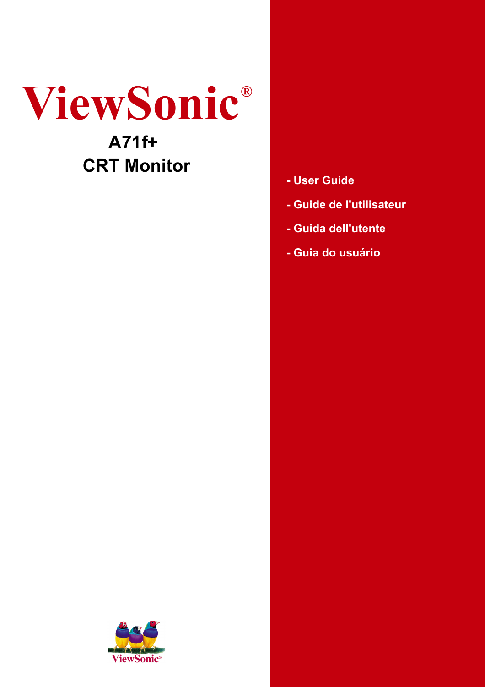# **ViewSonic® A71f+**

## **CRT Monitor**

- **User Guide**
- **Guide de l'utilisateur**
- **Guida dell'utente**
- **Guia do usuário**

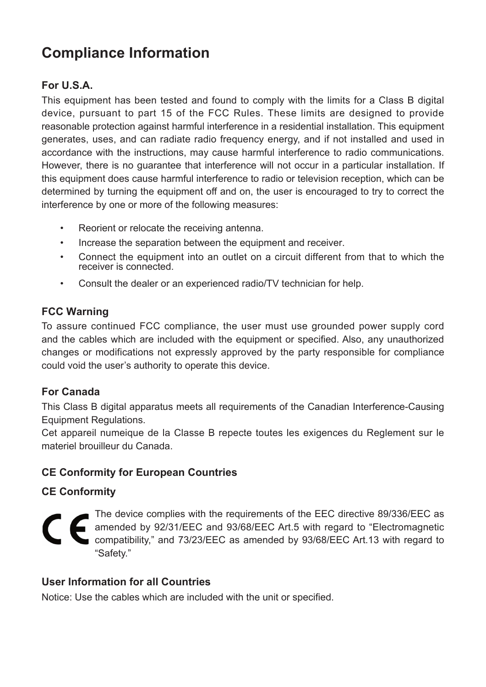### **Compliance Information**

#### **For U.S.A.**

This equipment has been tested and found to comply with the limits for a Class B digital device, pursuant to part 15 of the FCC Rules. These limits are designed to provide reasonable protection against harmful interference in a residential installation. This equipment generates, uses, and can radiate radio frequency energy, and if not installed and used in accordance with the instructions, may cause harmful interference to radio communications. However, there is no guarantee that interference will not occur in a particular installation. If this equipment does cause harmful interference to radio or television reception, which can be determined by turning the equipment off and on, the user is encouraged to try to correct the interference by one or more of the following measures:

- Reorient or relocate the receiving antenna.
- Increase the separation between the equipment and receiver.
- Connect the equipment into an outlet on a circuit different from that to which the receiver is connected.
- Consult the dealer or an experienced radio/TV technician for help.

#### **FCC Warning**

To assure continued FCC compliance, the user must use grounded power supply cord and the cables which are included with the equipment or specified. Also, any unauthorized changes or modifications not expressly approved by the party responsible for compliance could void the user's authority to operate this device.

#### **For Canada**

This Class B digital apparatus meets all requirements of the Canadian Interference-Causing Equipment Regulations.

Cet appareil numeique de la Classe B repecte toutes les exigences du Reglement sur le materiel brouilleur du Canada.

#### **CE Conformity for European Countries**

#### **CE Conformity**

The device complies with the requirements of the EEC directive 89/336/EEC as amended by 92/31/EEC and 93/68/EEC Art.5 with regard to "Electromagnetic compatibility," and 73/23/EEC as amended by 93/68/EEC Art.13 with regard to "Safety."

#### **User Information for all Countries**

Notice: Use the cables which are included with the unit or specified.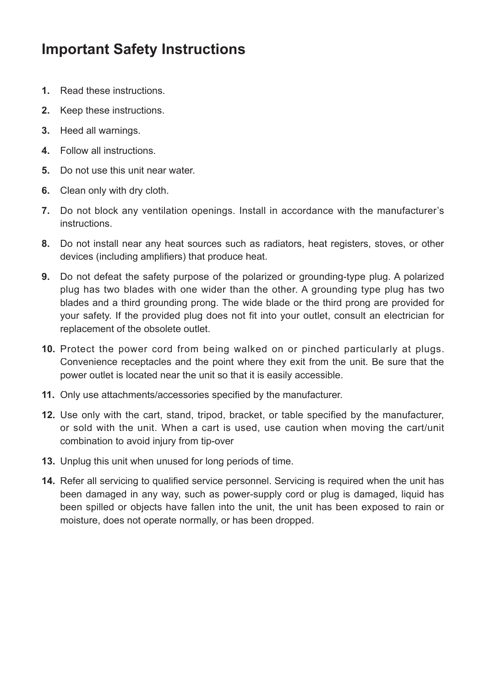### **Important Safety Instructions**

- **1.** Read these instructions.
- **2.** Keep these instructions.
- **3.** Heed all warnings.
- **4.** Follow all instructions.
- **5.** Do not use this unit near water.
- **6.** Clean only with dry cloth.
- **7.** Do not block any ventilation openings. Install in accordance with the manufacturer's instructions.
- **8.** Do not install near any heat sources such as radiators, heat registers, stoves, or other devices (including amplifiers) that produce heat.
- **9.** Do not defeat the safety purpose of the polarized or grounding-type plug. A polarized plug has two blades with one wider than the other. A grounding type plug has two blades and a third grounding prong. The wide blade or the third prong are provided for your safety. If the provided plug does not fit into your outlet, consult an electrician for replacement of the obsolete outlet.
- **10.** Protect the power cord from being walked on or pinched particularly at plugs. Convenience receptacles and the point where they exit from the unit. Be sure that the power outlet is located near the unit so that it is easily accessible.
- 11. Only use attachments/accessories specified by the manufacturer.
- **12.** Use only with the cart, stand, tripod, bracket, or table specified by the manufacturer, or sold with the unit. When a cart is used, use caution when moving the cart/unit combination to avoid injury from tip-over
- **13.** Unplug this unit when unused for long periods of time.
- 14. Refer all servicing to qualified service personnel. Servicing is required when the unit has been damaged in any way, such as power-supply cord or plug is damaged, liquid has been spilled or objects have fallen into the unit, the unit has been exposed to rain or moisture, does not operate normally, or has been dropped.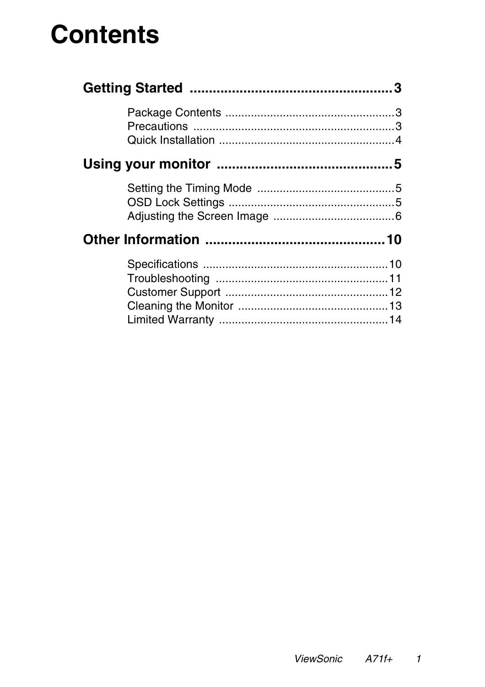# **Contents**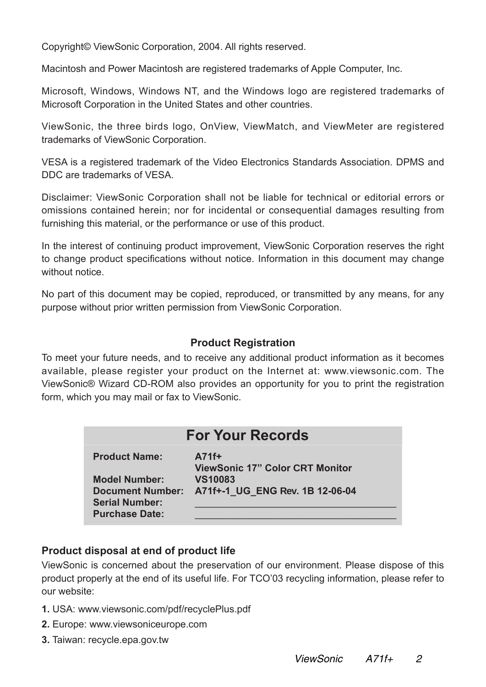Copyright© ViewSonic Corporation, 2004. All rights reserved.

Macintosh and Power Macintosh are registered trademarks of Apple Computer, Inc.

Microsoft, Windows, Windows NT, and the Windows logo are registered trademarks of Microsoft Corporation in the United States and other countries.

ViewSonic, the three birds logo, OnView, ViewMatch, and ViewMeter are registered trademarks of ViewSonic Corporation.

VESA is a registered trademark of the Video Electronics Standards Association. DPMS and DDC are trademarks of VESA.

Disclaimer: ViewSonic Corporation shall not be liable for technical or editorial errors or omissions contained herein; nor for incidental or consequential damages resulting from furnishing this material, or the performance or use of this product.

In the interest of continuing product improvement, ViewSonic Corporation reserves the right to change product specifications without notice. Information in this document may change without notice.

No part of this document may be copied, reproduced, or transmitted by any means, for any purpose without prior written permission from ViewSonic Corporation.

#### **Product Registration**

To meet your future needs, and to receive any additional product information as it becomes available, please register your product on the Internet at: www.viewsonic.com. The ViewSonic® Wizard CD-ROM also provides an opportunity for you to print the registration form, which you may mail or fax to ViewSonic.

| <b>For Your Records</b>                          |                                                   |  |  |  |  |
|--------------------------------------------------|---------------------------------------------------|--|--|--|--|
| <b>Product Name:</b>                             | $A71f+$<br><b>ViewSonic 17" Color CRT Monitor</b> |  |  |  |  |
| <b>Model Number:</b>                             | <b>VS10083</b>                                    |  |  |  |  |
| <b>Document Number:</b><br><b>Serial Number:</b> | A71f+-1 UG ENG Rev. 1B 12-06-04                   |  |  |  |  |
| <b>Purchase Date:</b>                            |                                                   |  |  |  |  |

#### **Product disposal at end of product life**

ViewSonic is concerned about the preservation of our environment. Please dispose of this product properly at the end of its useful life. For TCO'03 recycling information, please refer to our website:

- **1.** USA: www.viewsonic.com/pdf/recyclePlus.pdf
- **2.** Europe: www.viewsoniceurope.com
- **3.** Taiwan: recycle.epa.gov.tw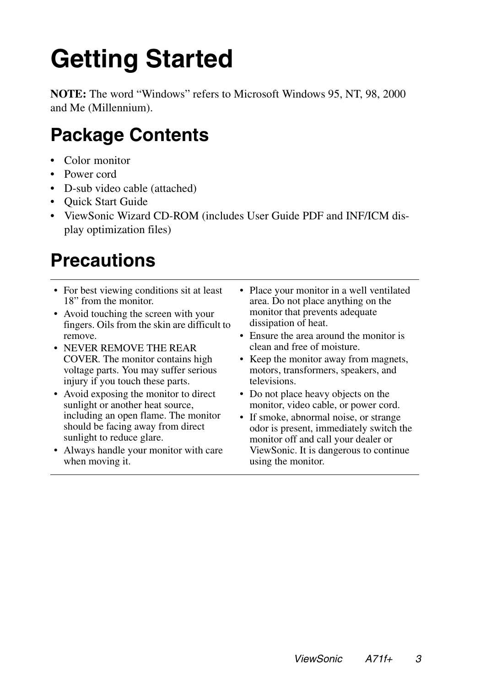# **Getting Started**

**NOTE:** The word "Windows" refers to Microsoft Windows 95, NT, 98, 2000 and Me (Millennium).

### **Package Contents**

- Color monitor
- Power cord
- D-sub video cable (attached)
- Quick Start Guide
- ViewSonic Wizard CD-ROM (includes User Guide PDF and INF/ICM display optimization files)

## **Precautions**

- For best viewing conditions sit at least 18" from the monitor.
- Avoid touching the screen with your fingers. Oils from the skin are difficult to remove.
- NEVER REMOVE THE REAR COVER. The monitor contains high voltage parts. You may suffer serious injury if you touch these parts.
- Avoid exposing the monitor to direct sunlight or another heat source, including an open flame. The monitor should be facing away from direct sunlight to reduce glare.
- Always handle your monitor with care when moving it.
- Place your monitor in a well ventilated area. Do not place anything on the monitor that prevents adequate dissipation of heat.
- Ensure the area around the monitor is clean and free of moisture.
- Keep the monitor away from magnets, motors, transformers, speakers, and televisions.
- Do not place heavy objects on the monitor, video cable, or power cord.
- If smoke, abnormal noise, or strange odor is present, immediately switch the monitor off and call your dealer or ViewSonic. It is dangerous to continue using the monitor.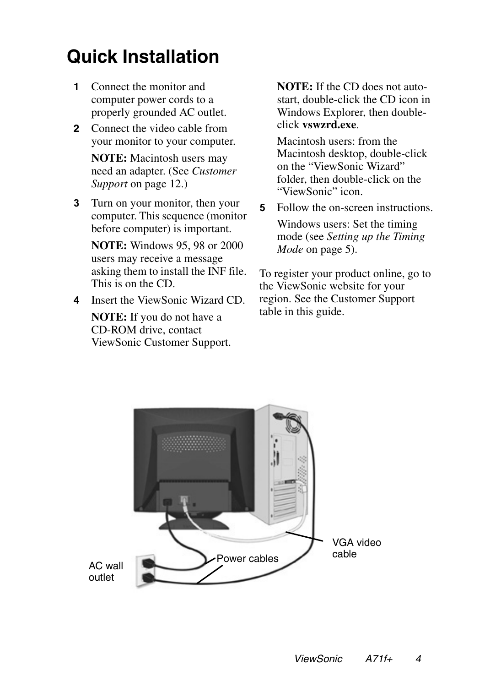## **Quick Installation**

- **1** Connect the monitor and computer power cords to a properly grounded AC outlet.
- **2** Connect the video cable from your monitor to your computer.

**NOTE:** Macintosh users may need an adapter. (See *Customer Support* on page 12.)

**3** Turn on your monitor, then your computer. This sequence (monitor before computer) is important.

**NOTE:** Windows 95, 98 or 2000 users may receive a message asking them to install the INF file. This is on the CD.

**4** Insert the ViewSonic Wizard CD.

**NOTE:** If you do not have a CD-ROM drive, contact ViewSonic Customer Support. **NOTE:** If the CD does not autostart, double-click the CD icon in Windows Explorer, then doubleclick **vswzrd.exe**.

Macintosh users: from the Macintosh desktop, double-click on the "ViewSonic Wizard" folder, then double-click on the "ViewSonic" icon.

**5** Follow the on-screen instructions. Windows users: Set the timing mode (see *Setting up the Timing Mode* on page 5).

To register your product online, go to the ViewSonic website for your region. See the Customer Support table in this guide.

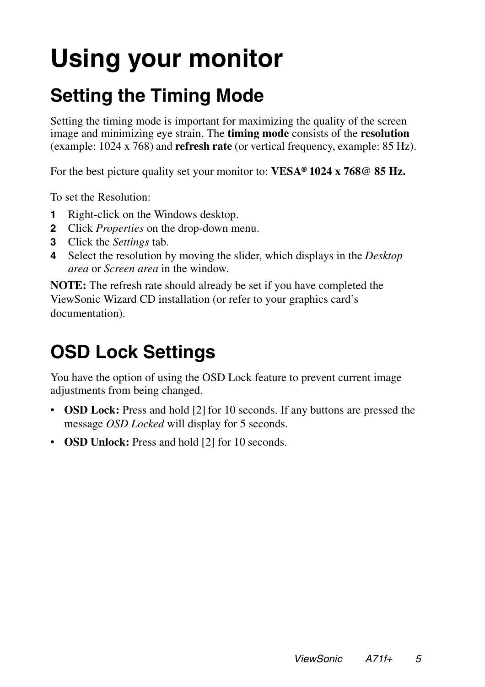# **Using your monitor**

## **Setting the Timing Mode**

Setting the timing mode is important for maximizing the quality of the screen image and minimizing eye strain. The **timing mode** consists of the **resolution** (example: 1024 x 768) and **refresh rate** (or vertical frequency, example: 85 Hz).

For the best picture quality set your monitor to: **VESA® 1024 x 768@ 85 Hz.**

To set the Resolution:

- **1** Right-click on the Windows desktop.
- **2** Click *Properties* on the drop-down menu.
- **3** Click the *Settings* tab.
- **4** Select the resolution by moving the slider, which displays in the *Desktop area* or *Screen area* in the window.

**NOTE:** The refresh rate should already be set if you have completed the ViewSonic Wizard CD installation (or refer to your graphics card's documentation).

## **OSD Lock Settings**

You have the option of using the OSD Lock feature to prevent current image adjustments from being changed.

- **OSD Lock:** Press and hold [2] for 10 seconds. If any buttons are pressed the message *OSD Locked* will display for 5 seconds.
- **OSD Unlock:** Press and hold [2] for 10 seconds.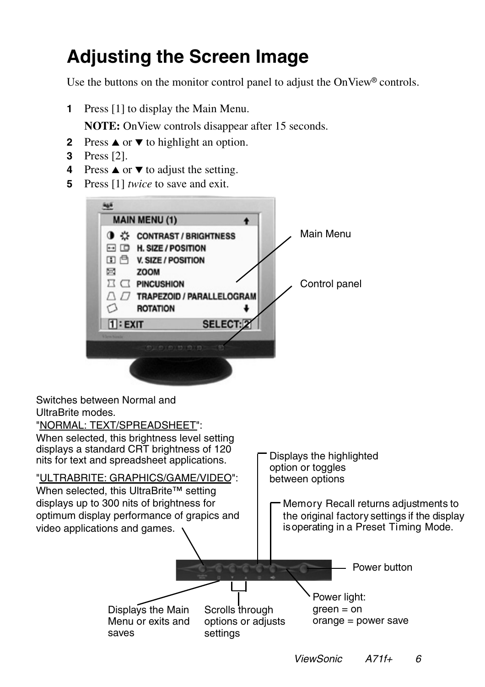## **Adjusting the Screen Image**

Use the buttons on the monitor control panel to adjust the OnView® controls.

- **1** Press [1] to display the Main Menu. **NOTE:** On View controls disappear after 15 seconds.
- **2** Press **▲** or ▼ to highlight an option.
- **3** Press [2].
- **4** Press ▲ or ▼ to adjust the setting.
- **5** Press [1] *twice* to save and exit.



Displays the Main Menu or exits and saves Displays the highlighted option or toggles between options Power button Scrolls through options or adjusts settings Power light:  $green = on$ orange = power save Switches between Normal and UltraBrite modes. "NORMAL: TEXT/SPREADSHEET": When selected, this brightness level setting "ULTRABRITE: GRAPHICS/GAME/VIDEO": When selected, this UltraBrite™ setting displays a standard CRT brightness of 120 nits for text and spreadsheet applications. displays up to 300 nits of brightness for optimum display performance of grapics and video applications and games. Memory Recall returns adjustments to the original factory settings if the display is operating in a Preset Timing Mode.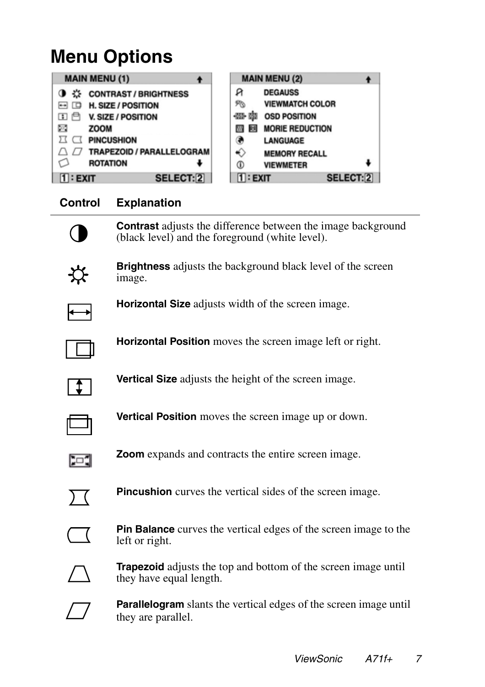### **Menu Options**

| <b>MAIN MENU (1)</b>         | <b>MAIN MENU (2)</b>      |
|------------------------------|---------------------------|
| <b>CONTRAST / BRIGHTNESS</b> | я                         |
| ☆                            | <b>DEGAUSS</b>            |
| H. SIZE / POSITION           | <b>VIEWMATCH COLOR</b>    |
| $\Box$                       | R                         |
| 田自                           | -033-1031                 |
| <b>V. SIZE / POSITION</b>    | <b>OSD POSITION</b>       |
| Ξ                            | <b>MORIE REDUCTION</b>    |
| <b>ZOOM</b>                  | <b>MY</b>                 |
| <b>PINCUSHION</b>            | LANGUAGE                  |
| TRAPEZOID / PARALLELOGRAM    | ↔<br><b>MEMORY RECALL</b> |
| <b>ROTATION</b>              | ⊕<br><b>VIEWMETER</b>     |
| <b>SELECT:2</b>              | $1:$ EXIT                 |
| $1$ : EXIT                   | <b>SELECT:2</b>           |

### **Control Explanation**



**Contrast** adjusts the difference between the image background (black level) and the foreground (white level).



**Brightness** adjusts the background black level of the screen image.



**Horizontal Size** adjusts width of the screen image.







**Vertical Position** moves the screen image up or down.



**Zoom** expands and contracts the entire screen image.



**Pincushion** curves the vertical sides of the screen image.



**Pin Balance** curves the vertical edges of the screen image to the left or right.



**Trapezoid** adjusts the top and bottom of the screen image until they have equal length.

**Parallelogram** slants the vertical edges of the screen image until they are parallel.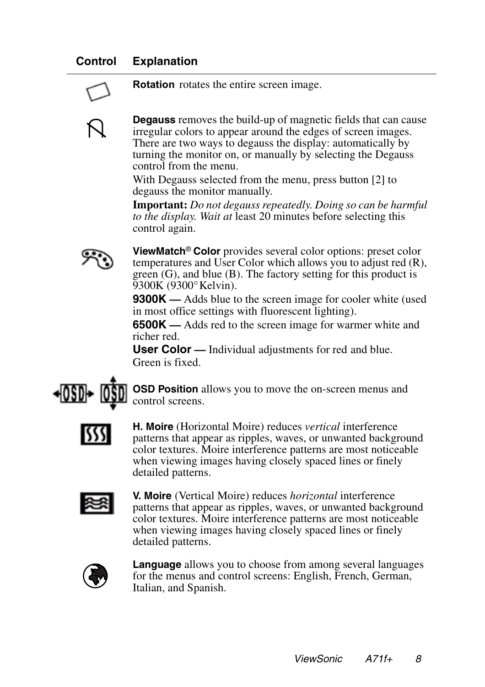### **Control Explanation**



**Rotation** rotates the entire screen image.

**Degauss** removes the build-up of magnetic fields that can cause irregular colors to appear around the edges of screen images. There are two ways to degauss the display: automatically by turning the monitor on, or manually by selecting the Degauss control from the menu.

With Degauss selected from the menu, press button [2] to degauss the monitor manually.

**Important:** *Do not degauss repeatedly. Doing so can be harmful to the display. Wait at* least 20 minutes before selecting this control again.



**ViewMatch**® **Color** provides several color options: preset color temperatures and User Color which allows you to adjust red (R), green (G), and blue (B). The factory setting for this product is 9300K (9300° Kelvin).

**9300K** — Adds blue to the screen image for cooler white (used in most office settings with fluorescent lighting).

**6500K —** Adds red to the screen image for warmer white and richer red.

**User Color —** Individual adjustments for red and blue. Green is fixed.



**OSD Position** allows you to move the on-screen menus and control screens.



**H. Moire** (Horizontal Moire) reduces *vertical* interference patterns that appear as ripples, waves, or unwanted background color textures. Moire interference patterns are most noticeable when viewing images having closely spaced lines or finely detailed patterns.



**V. Moire** (Vertical Moire) reduces *horizontal* interference patterns that appear as ripples, waves, or unwanted background color textures. Moire interference patterns are most noticeable when viewing images having closely spaced lines or finely detailed patterns.



**Language** allows you to choose from among several languages for the menus and control screens: English, French, German, Italian, and Spanish.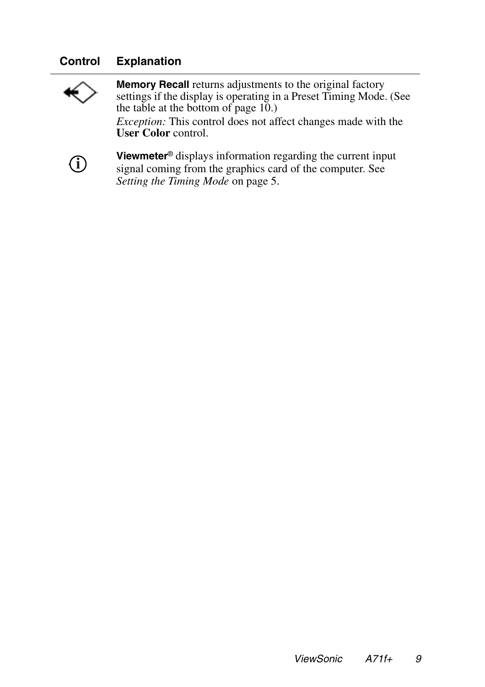### **Control Explanation**



**Memory Recall** returns adjustments to the original factory settings if the display is operating in a Preset Timing Mode. (See the table at the bottom of page  $10$ .) *Exception:* This control does not affect changes made with the **User Color** control.



**Viewmeter**® displays information regarding the current input signal coming from the graphics card of the computer. See *Setting the Timing Mode* on page 5.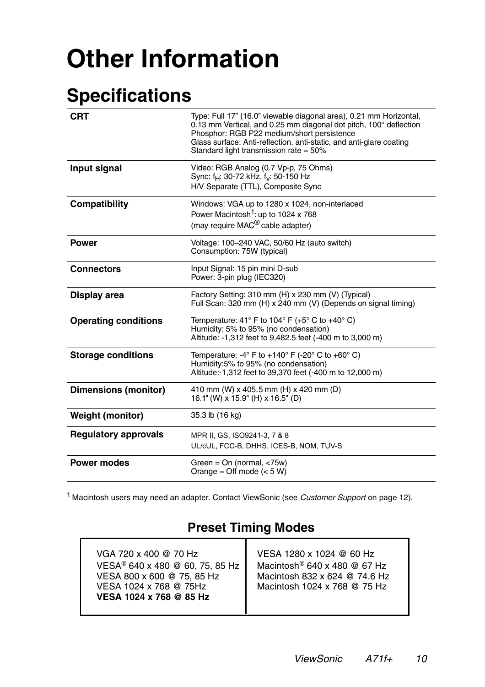# **Other Information**

## **Specifications**

| <b>CRT</b>                  | Type: Full 17" (16.0" viewable diagonal area), 0.21 mm Horizontal,<br>0.13 mm Vertical, and 0.25 mm diagonal dot pitch, 100° deflection<br>Phosphor: RGB P22 medium/short persistence<br>Glass surface: Anti-reflection. anti-static, and anti-glare coating<br>Standard light transmission rate = $50\%$ |
|-----------------------------|-----------------------------------------------------------------------------------------------------------------------------------------------------------------------------------------------------------------------------------------------------------------------------------------------------------|
| Input signal                | Video: RGB Analog (0.7 Vp-p, 75 Ohms)<br>Sync: f <sub>H</sub> : 30-72 kHz, f <sub>v</sub> : 50-150 Hz<br>H/V Separate (TTL), Composite Sync                                                                                                                                                               |
| Compatibility               | Windows: VGA up to 1280 x 1024, non-interlaced<br>Power Macintosh <sup>1</sup> : up to 1024 x 768<br>(may require MAC <sup>®</sup> cable adapter)                                                                                                                                                         |
| <b>Power</b>                | Voltage: 100-240 VAC, 50/60 Hz (auto switch)<br>Consumption: 75W (typical)                                                                                                                                                                                                                                |
| <b>Connectors</b>           | Input Signal: 15 pin mini D-sub<br>Power: 3-pin plug (IEC320)                                                                                                                                                                                                                                             |
| Display area                | Factory Setting: 310 mm (H) x 230 mm (V) (Typical)<br>Full Scan: 320 mm (H) x 240 mm (V) (Depends on signal timing)                                                                                                                                                                                       |
| <b>Operating conditions</b> | Temperature: 41° F to 104° F (+5° C to +40° C)<br>Humidity: 5% to 95% (no condensation)<br>Altitude: -1,312 feet to 9,482.5 feet (-400 m to 3,000 m)                                                                                                                                                      |
| <b>Storage conditions</b>   | Temperature: -4° F to +140° F (-20° C to +60° C)<br>Humidity:5% to 95% (no condensation)<br>Altitude:-1,312 feet to 39,370 feet (-400 m to 12,000 m)                                                                                                                                                      |
| <b>Dimensions (monitor)</b> | 410 mm (W) x 405.5 mm (H) x 420 mm (D)<br>16.1" (W) x 15.9" (H) x 16.5" (D)                                                                                                                                                                                                                               |
| <b>Weight (monitor)</b>     | 35.3 lb (16 kg)                                                                                                                                                                                                                                                                                           |
| <b>Regulatory approvals</b> | MPR II, GS, ISO9241-3, 7 & 8<br>UL/cUL, FCC-B, DHHS, ICES-B, NOM, TUV-S                                                                                                                                                                                                                                   |
| <b>Power modes</b>          | Green = $On$ (normal, $<75w$ )<br>Orange = Off mode $(< 5 W)$                                                                                                                                                                                                                                             |

<sup>1</sup> Macintosh users may need an adapter. Contact ViewSonic (see Customer Support on page 12).

### **Preset Timing Modes**

| VGA 720 x 400 @ 70 Hz<br>VESA <sup>®</sup> 640 x 480 @ 60, 75, 85 Hz<br>VESA 800 x 600 @ 75, 85 Hz<br>VESA 1024 x 768 @ 75Hz<br>VESA 1024 x 768 @ 85 Hz | VESA 1280 x 1024 @ 60 Hz<br>Macintosh <sup>®</sup> 640 x 480 @ 67 Hz<br>Macintosh 832 x 624 @ 74.6 Hz<br>Macintosh 1024 x 768 @ 75 Hz |
|---------------------------------------------------------------------------------------------------------------------------------------------------------|---------------------------------------------------------------------------------------------------------------------------------------|
|---------------------------------------------------------------------------------------------------------------------------------------------------------|---------------------------------------------------------------------------------------------------------------------------------------|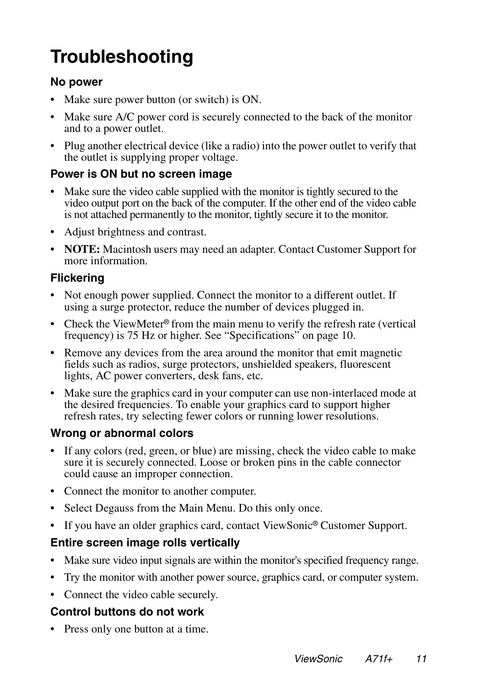## **Troubleshooting**

#### **No power**

- Make sure power button (or switch) is ON.
- Make sure A/C power cord is securely connected to the back of the monitor and to a power outlet.
- Plug another electrical device (like a radio) into the power outlet to verify that the outlet is supplying proper voltage.

#### **Power is ON but no screen image**

- Make sure the video cable supplied with the monitor is tightly secured to the video output port on the back of the computer. If the other end of the video cable is not attached permanently to the monitor, tightly secure it to the monitor.
- Adjust brightness and contrast.
- **NOTE:** Macintosh users may need an adapter. Contact Customer Support for more information.

### **Flickering**

- Not enough power supplied. Connect the monitor to a different outlet. If using a surge protector, reduce the number of devices plugged in.
- Check the ViewMeter<sup>®</sup> from the main menu to verify the refresh rate (vertical frequency) is 75 Hz or higher. See "Specifications" on page 10.
- Remove any devices from the area around the monitor that emit magnetic fields such as radios, surge protectors, unshielded speakers, fluorescent lights, AC power converters, desk fans, etc.
- Make sure the graphics card in your computer can use non-interlaced mode at the desired frequencies. To enable your graphics card to support higher refresh rates, try selecting fewer colors or running lower resolutions.

### **Wrong or abnormal colors**

- If any colors (red, green, or blue) are missing, check the video cable to make sure it is securely connected. Loose or broken pins in the cable connector could cause an improper connection.
- Connect the monitor to another computer.
- Select Degauss from the Main Menu. Do this only once.
- If you have an older graphics card, contact ViewSonic<sup>®</sup> Customer Support.

### **Entire screen image rolls vertically**

- Make sure video input signals are within the monitor's specified frequency range.
- Try the monitor with another power source, graphics card, or computer system.
- Connect the video cable securely.

### **Control buttons do not work**

• Press only one button at a time.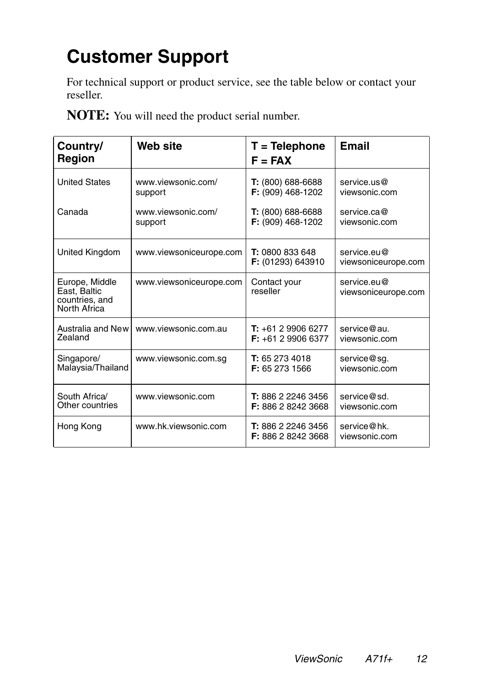## **Customer Support**

For technical support or product service, see the table below or contact your reseller.

**NOTE:** You will need the product serial number.

| Country/<br><b>Region</b>                                        | <b>Web site</b>         | $T = Telephone$<br>$F = FAX$                    | <b>Email</b>                       |
|------------------------------------------------------------------|-------------------------|-------------------------------------------------|------------------------------------|
| <b>United States</b>                                             | www.viewsonic.com/      | T: (800) 688-6688                               | service.us@                        |
|                                                                  | support                 | F: (909) 468-1202                               | viewsonic.com                      |
| Canada                                                           | www.viewsonic.com/      | $T: (800) 688-6688$                             | service.ca@                        |
|                                                                  | support                 | F: (909) 468-1202                               | viewsonic.com                      |
| <b>United Kingdom</b>                                            | www.viewsoniceurope.com | T: 0800 833 648<br>F: (01293) 643910            | service.eu@<br>viewsoniceurope.com |
| Europe, Middle<br>East, Baltic<br>countries, and<br>North Africa | www.viewsoniceurope.com | Contact your<br>reseller                        | service.eu@<br>viewsoniceurope.com |
| Australia and New                                                | www.viewsonic.com.au    | $T: +61299066277$                               | service@au.                        |
| Zealand                                                          |                         | $F: +61299066377$                               | viewsonic.com                      |
| Singapore/                                                       | www.viewsonic.com.sg    | T: 65 273 4018                                  | service@sg.                        |
| Malaysia/Thailand                                                |                         | F: 65 273 1566                                  | viewsonic.com                      |
| South Africa/                                                    | www.viewsonic.com       | T: 886 2 2246 3456                              | service@sd.                        |
| Other countries                                                  |                         | F: 886 2 8242 3668                              | viewsonic.com                      |
| Hong Kong                                                        | www.hk.viewsonic.com    | T: 886 2 2246 3456<br><b>F:</b> 886 2 8242 3668 | service@hk.<br>viewsonic.com       |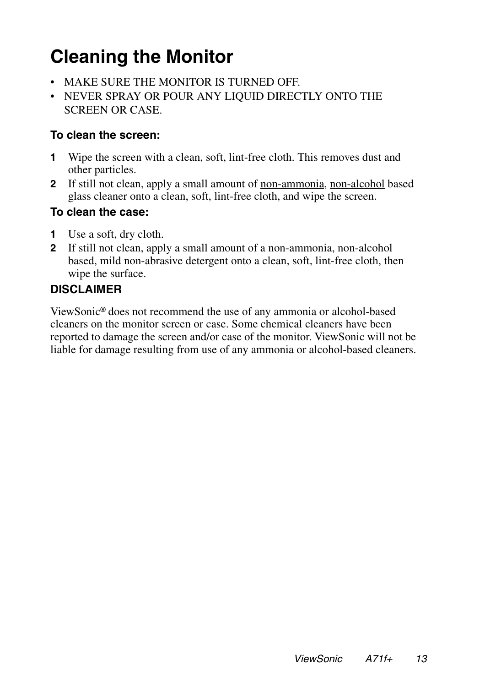## **Cleaning the Monitor**

- MAKE SURE THE MONITOR IS TURNED OFF.
- NEVER SPRAY OR POUR ANY LIQUID DIRECTLY ONTO THE SCREEN OR CASE.

#### **To clean the screen:**

- **1** Wipe the screen with a clean, soft, lint-free cloth. This removes dust and other particles.
- **2** If still not clean, apply a small amount of non-ammonia, non-alcohol based glass cleaner onto a clean, soft, lint-free cloth, and wipe the screen.

### **To clean the case:**

- **1** Use a soft, dry cloth.
- **2** If still not clean, apply a small amount of a non-ammonia, non-alcohol based, mild non-abrasive detergent onto a clean, soft, lint-free cloth, then wipe the surface.

### **DISCLAIMER**

ViewSonic® does not recommend the use of any ammonia or alcohol-based cleaners on the monitor screen or case. Some chemical cleaners have been reported to damage the screen and/or case of the monitor. ViewSonic will not be liable for damage resulting from use of any ammonia or alcohol-based cleaners.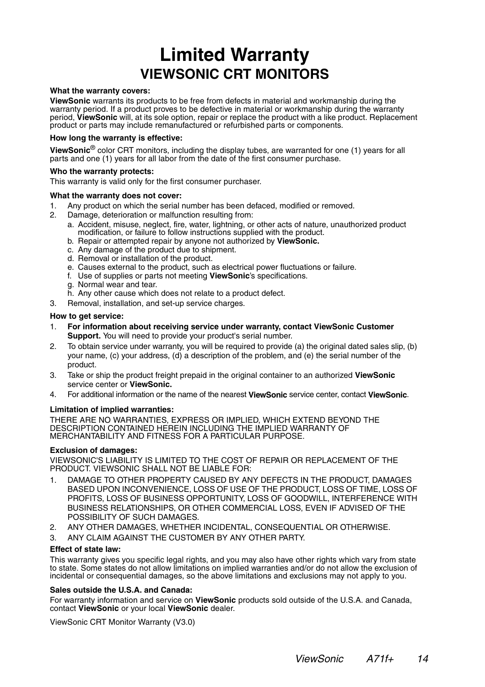### **Limited Warranty VIEWSONIC CRT MONITORS**

#### **What the warranty covers:**

**ViewSonic** warrants its products to be free from defects in material and workmanship during the warranty period. If a product proves to be defective in material or workmanship during the warranty period, ViewSonic will, at its sole option, repair or replace the product with a like product. Replacement product or parts may include remanufactured or refurbished parts or components.

#### **How long the warranty is effective:**

**ViewSonic**® color CRT monitors, including the display tubes, are warranted for one (1) years for all parts and one (1) years for all labor from the date of the first consumer purchase.

#### **Who the warranty protects:**

This warranty is valid only for the first consumer purchaser.

#### **What the warranty does not cover:**

- 1. Any product on which the serial number has been defaced, modified or removed.
- 2. Damage, deterioration or malfunction resulting from:
	- a. Accident, misuse, neglect, fire, water, lightning, or other acts of nature, unauthorized product modification, or failure to follow instructions supplied with the product.
	- b. Repair or attempted repair by anyone not authorized by **ViewSonic.**
	- c. Any damage of the product due to shipment.
	- d. Removal or installation of the product.
	- e. Causes external to the product, such as electrical power fluctuations or failure.
	- f. Use of supplies or parts not meeting **ViewSonic**'s specifications.
	- g. Normal wear and tear.
	- h. Any other cause which does not relate to a product defect.
- 3. Removal, installation, and set-up service charges.

#### **How to get service:**

- 1. **For information about receiving service under warranty, contact ViewSonic Customer Support.** You will need to provide your product's serial number.
- 2. To obtain service under warranty, you will be required to provide (a) the original dated sales slip, (b) your name, (c) your address, (d) a description of the problem, and (e) the serial number of the product.
- 3. Take or ship the product freight prepaid in the original container to an authorized **ViewSonic**  service center or **ViewSonic.**
- 4. For additional information or the name of the nearest **ViewSonic** service center, contact **ViewSonic**.

#### **Limitation of implied warranties:**

THERE ARE NO WARRANTIES, EXPRESS OR IMPLIED, WHICH EXTEND BEYOND THE DESCRIPTION CONTAINED HEREIN INCLUDING THE IMPLIED WARRANTY OF MERCHANTABILITY AND FITNESS FOR A PARTICULAR PURPOSE.

#### **Exclusion of damages:**

VIEWSONIC'S LIABILITY IS LIMITED TO THE COST OF REPAIR OR REPLACEMENT OF THE PRODUCT. VIEWSONIC SHALL NOT BE LIABLE FOR:

- 1. DAMAGE TO OTHER PROPERTY CAUSED BY ANY DEFECTS IN THE PRODUCT, DAMAGES BASED UPON INCONVENIENCE, LOSS OF USE OF THE PRODUCT, LOSS OF TIME, LOSS OF PROFITS, LOSS OF BUSINESS OPPORTUNITY, LOSS OF GOODWILL, INTERFERENCE WITH BUSINESS RELATIONSHIPS, OR OTHER COMMERCIAL LOSS, EVEN IF ADVISED OF THE POSSIBILITY OF SUCH DAMAGES.
- 2. ANY OTHER DAMAGES, WHETHER INCIDENTAL, CONSEQUENTIAL OR OTHERWISE.
- ANY CLAIM AGAINST THE CUSTOMER BY ANY OTHER PARTY.

#### **Effect of state law:**

This warranty gives you specific legal rights, and you may also have other rights which vary from state to state. Some states do not allow limitations on implied warranties and/or do not allow the exclusion of incidental or consequential damages, so the above limitations and exclusions may not apply to you.

#### **Sales outside the U.S.A. and Canada:**

For warranty information and service on **ViewSonic** products sold outside of the U.S.A. and Canada, contact **ViewSonic** or your local **ViewSonic** dealer.

ViewSonic CRT Monitor Warranty (V3.0)